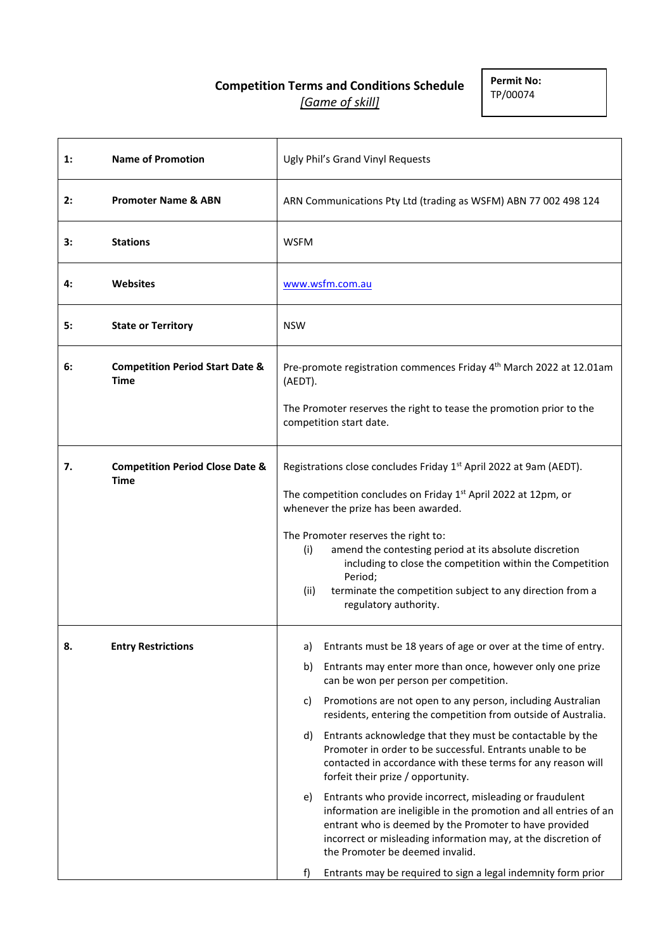## **Competition Terms and Conditions Schedule** *[Game of skill]*

**Permit No:** TP/00074

| 1: | <b>Name of Promotion</b>                                  | Ugly Phil's Grand Vinyl Requests                                                                                                                                                                                                                                                                                                                                                                                                                                                                                                                                                                                                                                                                                                                                                                                                                                                                                                           |
|----|-----------------------------------------------------------|--------------------------------------------------------------------------------------------------------------------------------------------------------------------------------------------------------------------------------------------------------------------------------------------------------------------------------------------------------------------------------------------------------------------------------------------------------------------------------------------------------------------------------------------------------------------------------------------------------------------------------------------------------------------------------------------------------------------------------------------------------------------------------------------------------------------------------------------------------------------------------------------------------------------------------------------|
| 2: | <b>Promoter Name &amp; ABN</b>                            | ARN Communications Pty Ltd (trading as WSFM) ABN 77 002 498 124                                                                                                                                                                                                                                                                                                                                                                                                                                                                                                                                                                                                                                                                                                                                                                                                                                                                            |
| 3: | <b>Stations</b>                                           | <b>WSFM</b>                                                                                                                                                                                                                                                                                                                                                                                                                                                                                                                                                                                                                                                                                                                                                                                                                                                                                                                                |
| 4: | <b>Websites</b>                                           | www.wsfm.com.au                                                                                                                                                                                                                                                                                                                                                                                                                                                                                                                                                                                                                                                                                                                                                                                                                                                                                                                            |
| 5: | <b>State or Territory</b>                                 | <b>NSW</b>                                                                                                                                                                                                                                                                                                                                                                                                                                                                                                                                                                                                                                                                                                                                                                                                                                                                                                                                 |
| 6: | <b>Competition Period Start Date &amp;</b><br>Time        | Pre-promote registration commences Friday 4 <sup>th</sup> March 2022 at 12.01am<br>(AEDT).                                                                                                                                                                                                                                                                                                                                                                                                                                                                                                                                                                                                                                                                                                                                                                                                                                                 |
|    |                                                           | The Promoter reserves the right to tease the promotion prior to the<br>competition start date.                                                                                                                                                                                                                                                                                                                                                                                                                                                                                                                                                                                                                                                                                                                                                                                                                                             |
| 7. | <b>Competition Period Close Date &amp;</b><br><b>Time</b> | Registrations close concludes Friday 1 <sup>st</sup> April 2022 at 9am (AEDT).<br>The competition concludes on Friday 1st April 2022 at 12pm, or<br>whenever the prize has been awarded.<br>The Promoter reserves the right to:<br>(i)<br>amend the contesting period at its absolute discretion<br>including to close the competition within the Competition<br>Period;<br>terminate the competition subject to any direction from a<br>(ii)<br>regulatory authority.                                                                                                                                                                                                                                                                                                                                                                                                                                                                     |
| 8. | <b>Entry Restrictions</b>                                 | Entrants must be 18 years of age or over at the time of entry.<br>a)<br>Entrants may enter more than once, however only one prize<br>b)<br>can be won per person per competition.<br>Promotions are not open to any person, including Australian<br>c)<br>residents, entering the competition from outside of Australia.<br>Entrants acknowledge that they must be contactable by the<br>d)<br>Promoter in order to be successful. Entrants unable to be<br>contacted in accordance with these terms for any reason will<br>forfeit their prize / opportunity.<br>Entrants who provide incorrect, misleading or fraudulent<br>e)<br>information are ineligible in the promotion and all entries of an<br>entrant who is deemed by the Promoter to have provided<br>incorrect or misleading information may, at the discretion of<br>the Promoter be deemed invalid.<br>Entrants may be required to sign a legal indemnity form prior<br>f) |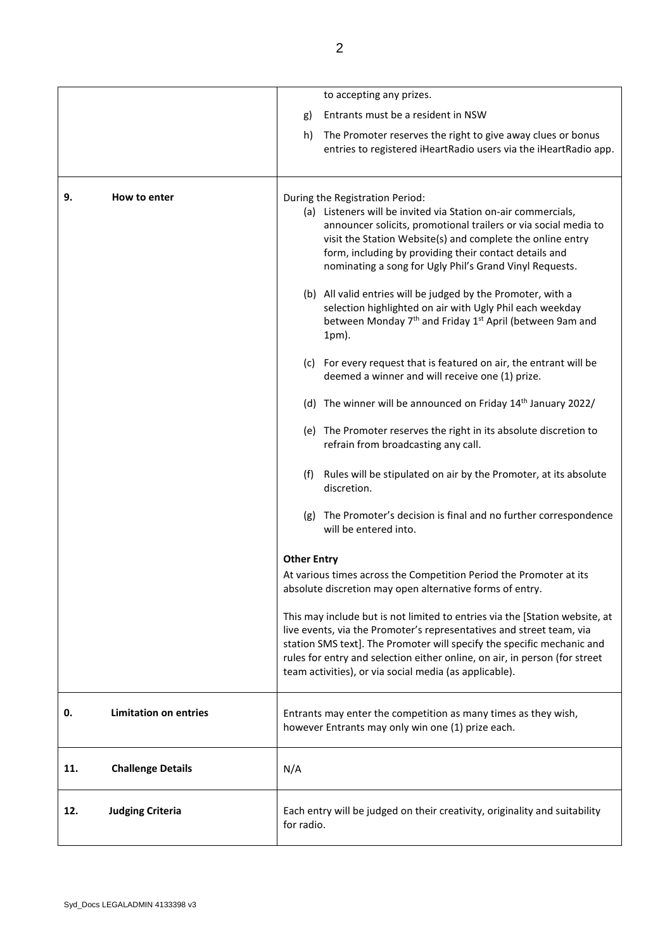|                                    | to accepting any prizes.                                                                                                                                                                                                                                                                                                                                              |
|------------------------------------|-----------------------------------------------------------------------------------------------------------------------------------------------------------------------------------------------------------------------------------------------------------------------------------------------------------------------------------------------------------------------|
|                                    | Entrants must be a resident in NSW<br>g)                                                                                                                                                                                                                                                                                                                              |
|                                    | The Promoter reserves the right to give away clues or bonus<br>h)<br>entries to registered iHeartRadio users via the iHeartRadio app.                                                                                                                                                                                                                                 |
| How to enter<br>9.                 | During the Registration Period:<br>(a) Listeners will be invited via Station on-air commercials,<br>announcer solicits, promotional trailers or via social media to<br>visit the Station Website(s) and complete the online entry<br>form, including by providing their contact details and<br>nominating a song for Ugly Phil's Grand Vinyl Requests.                |
|                                    | (b) All valid entries will be judged by the Promoter, with a<br>selection highlighted on air with Ugly Phil each weekday<br>between Monday 7 <sup>th</sup> and Friday 1 <sup>st</sup> April (between 9am and<br>$1pm$ ).                                                                                                                                              |
|                                    | (c) For every request that is featured on air, the entrant will be<br>deemed a winner and will receive one (1) prize.                                                                                                                                                                                                                                                 |
|                                    | (d) The winner will be announced on Friday 14 <sup>th</sup> January 2022/                                                                                                                                                                                                                                                                                             |
|                                    | (e) The Promoter reserves the right in its absolute discretion to<br>refrain from broadcasting any call.                                                                                                                                                                                                                                                              |
|                                    | Rules will be stipulated on air by the Promoter, at its absolute<br>(f)<br>discretion.                                                                                                                                                                                                                                                                                |
|                                    | (g) The Promoter's decision is final and no further correspondence<br>will be entered into.                                                                                                                                                                                                                                                                           |
|                                    | <b>Other Entry</b>                                                                                                                                                                                                                                                                                                                                                    |
|                                    | At various times across the Competition Period the Promoter at its<br>absolute discretion may open alternative forms of entry.                                                                                                                                                                                                                                        |
|                                    | This may include but is not limited to entries via the [Station website, at<br>live events, via the Promoter's representatives and street team, via<br>station SMS text]. The Promoter will specify the specific mechanic and<br>rules for entry and selection either online, on air, in person (for street<br>team activities), or via social media (as applicable). |
| <b>Limitation on entries</b><br>0. | Entrants may enter the competition as many times as they wish,<br>however Entrants may only win one (1) prize each.                                                                                                                                                                                                                                                   |
| 11.<br><b>Challenge Details</b>    | N/A                                                                                                                                                                                                                                                                                                                                                                   |
| 12.<br><b>Judging Criteria</b>     | Each entry will be judged on their creativity, originality and suitability<br>for radio.                                                                                                                                                                                                                                                                              |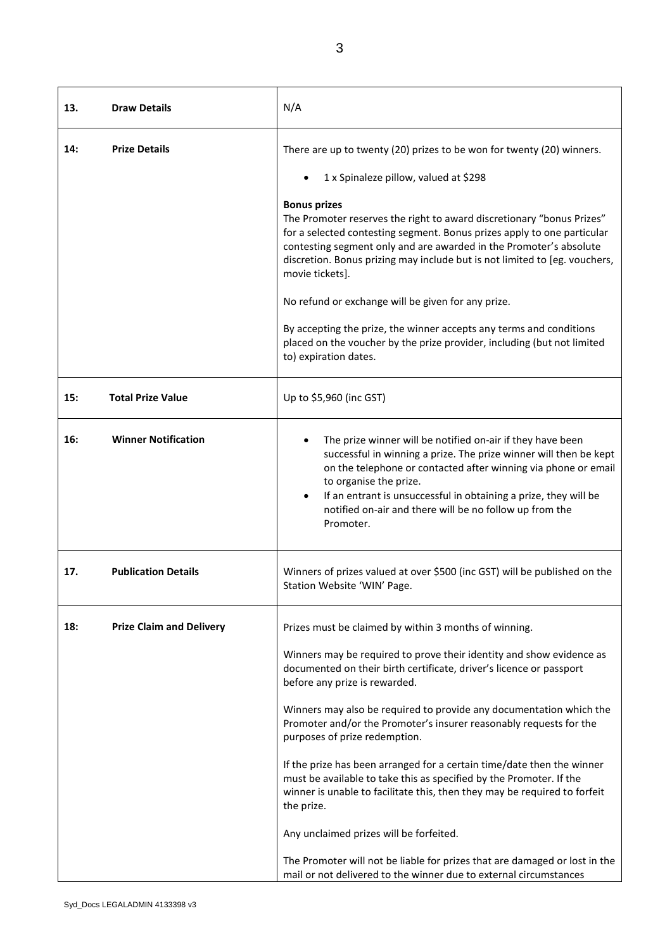| 13. | <b>Draw Details</b>             | N/A                                                                                                                                                                                                                                                                                                                                                                                                                                                                                                                                                                                                                                                                                                                                                                                                                                                           |
|-----|---------------------------------|---------------------------------------------------------------------------------------------------------------------------------------------------------------------------------------------------------------------------------------------------------------------------------------------------------------------------------------------------------------------------------------------------------------------------------------------------------------------------------------------------------------------------------------------------------------------------------------------------------------------------------------------------------------------------------------------------------------------------------------------------------------------------------------------------------------------------------------------------------------|
| 14: | <b>Prize Details</b>            | There are up to twenty (20) prizes to be won for twenty (20) winners.<br>1 x Spinaleze pillow, valued at \$298<br><b>Bonus prizes</b><br>The Promoter reserves the right to award discretionary "bonus Prizes"<br>for a selected contesting segment. Bonus prizes apply to one particular<br>contesting segment only and are awarded in the Promoter's absolute<br>discretion. Bonus prizing may include but is not limited to [eg. vouchers,<br>movie tickets].                                                                                                                                                                                                                                                                                                                                                                                              |
|     |                                 | No refund or exchange will be given for any prize.<br>By accepting the prize, the winner accepts any terms and conditions<br>placed on the voucher by the prize provider, including (but not limited<br>to) expiration dates.                                                                                                                                                                                                                                                                                                                                                                                                                                                                                                                                                                                                                                 |
| 15: | <b>Total Prize Value</b>        | Up to \$5,960 (inc GST)                                                                                                                                                                                                                                                                                                                                                                                                                                                                                                                                                                                                                                                                                                                                                                                                                                       |
| 16: | <b>Winner Notification</b>      | The prize winner will be notified on-air if they have been<br>successful in winning a prize. The prize winner will then be kept<br>on the telephone or contacted after winning via phone or email<br>to organise the prize.<br>If an entrant is unsuccessful in obtaining a prize, they will be<br>$\bullet$<br>notified on-air and there will be no follow up from the<br>Promoter.                                                                                                                                                                                                                                                                                                                                                                                                                                                                          |
| 17. | <b>Publication Details</b>      | Winners of prizes valued at over \$500 (inc GST) will be published on the<br>Station Website 'WIN' Page.                                                                                                                                                                                                                                                                                                                                                                                                                                                                                                                                                                                                                                                                                                                                                      |
| 18: | <b>Prize Claim and Delivery</b> | Prizes must be claimed by within 3 months of winning.<br>Winners may be required to prove their identity and show evidence as<br>documented on their birth certificate, driver's licence or passport<br>before any prize is rewarded.<br>Winners may also be required to provide any documentation which the<br>Promoter and/or the Promoter's insurer reasonably requests for the<br>purposes of prize redemption.<br>If the prize has been arranged for a certain time/date then the winner<br>must be available to take this as specified by the Promoter. If the<br>winner is unable to facilitate this, then they may be required to forfeit<br>the prize.<br>Any unclaimed prizes will be forfeited.<br>The Promoter will not be liable for prizes that are damaged or lost in the<br>mail or not delivered to the winner due to external circumstances |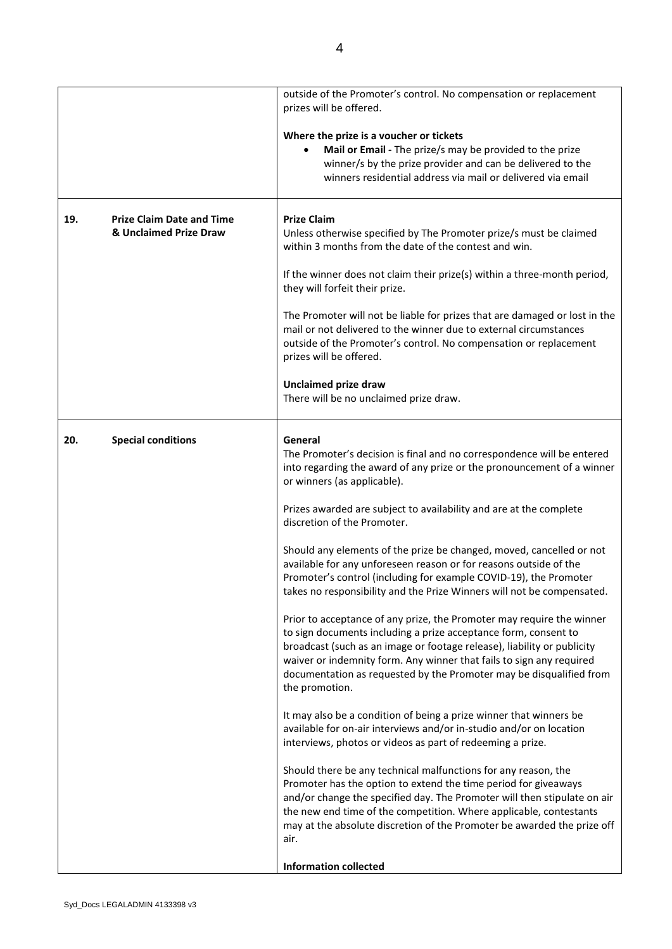|     |                                                            | outside of the Promoter's control. No compensation or replacement<br>prizes will be offered.                                                                                                                                                                                                                                                                                         |
|-----|------------------------------------------------------------|--------------------------------------------------------------------------------------------------------------------------------------------------------------------------------------------------------------------------------------------------------------------------------------------------------------------------------------------------------------------------------------|
|     |                                                            | Where the prize is a voucher or tickets<br>Mail or Email - The prize/s may be provided to the prize<br>winner/s by the prize provider and can be delivered to the<br>winners residential address via mail or delivered via email                                                                                                                                                     |
| 19. | <b>Prize Claim Date and Time</b><br>& Unclaimed Prize Draw | <b>Prize Claim</b><br>Unless otherwise specified by The Promoter prize/s must be claimed<br>within 3 months from the date of the contest and win.                                                                                                                                                                                                                                    |
|     |                                                            | If the winner does not claim their prize(s) within a three-month period,<br>they will forfeit their prize.                                                                                                                                                                                                                                                                           |
|     |                                                            | The Promoter will not be liable for prizes that are damaged or lost in the<br>mail or not delivered to the winner due to external circumstances<br>outside of the Promoter's control. No compensation or replacement<br>prizes will be offered.                                                                                                                                      |
|     |                                                            | <b>Unclaimed prize draw</b><br>There will be no unclaimed prize draw.                                                                                                                                                                                                                                                                                                                |
| 20. | <b>Special conditions</b>                                  | General<br>The Promoter's decision is final and no correspondence will be entered<br>into regarding the award of any prize or the pronouncement of a winner<br>or winners (as applicable).                                                                                                                                                                                           |
|     |                                                            | Prizes awarded are subject to availability and are at the complete<br>discretion of the Promoter.                                                                                                                                                                                                                                                                                    |
|     |                                                            | Should any elements of the prize be changed, moved, cancelled or not<br>available for any unforeseen reason or for reasons outside of the<br>Promoter's control (including for example COVID-19), the Promoter<br>takes no responsibility and the Prize Winners will not be compensated.                                                                                             |
|     |                                                            | Prior to acceptance of any prize, the Promoter may require the winner<br>to sign documents including a prize acceptance form, consent to<br>broadcast (such as an image or footage release), liability or publicity<br>waiver or indemnity form. Any winner that fails to sign any required<br>documentation as requested by the Promoter may be disqualified from<br>the promotion. |
|     |                                                            | It may also be a condition of being a prize winner that winners be<br>available for on-air interviews and/or in-studio and/or on location<br>interviews, photos or videos as part of redeeming a prize.                                                                                                                                                                              |
|     |                                                            | Should there be any technical malfunctions for any reason, the<br>Promoter has the option to extend the time period for giveaways<br>and/or change the specified day. The Promoter will then stipulate on air<br>the new end time of the competition. Where applicable, contestants<br>may at the absolute discretion of the Promoter be awarded the prize off<br>air.               |
|     |                                                            | <b>Information collected</b>                                                                                                                                                                                                                                                                                                                                                         |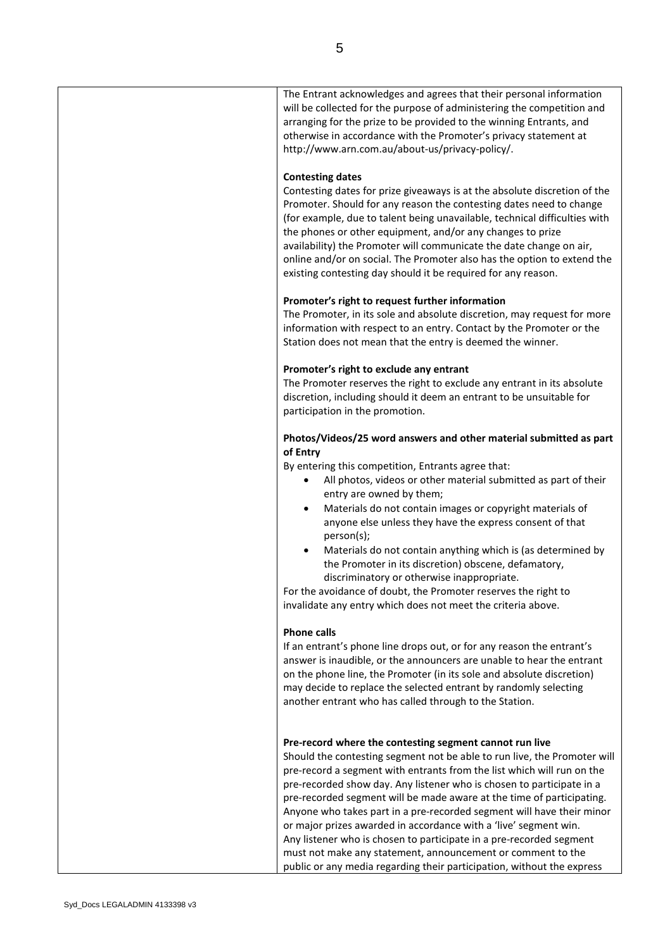| The Entrant acknowledges and agrees that their personal information<br>will be collected for the purpose of administering the competition and<br>arranging for the prize to be provided to the winning Entrants, and<br>otherwise in accordance with the Promoter's privacy statement at<br>http://www.arn.com.au/about-us/privacy-policy/.                                                                                                                                                                     |
|-----------------------------------------------------------------------------------------------------------------------------------------------------------------------------------------------------------------------------------------------------------------------------------------------------------------------------------------------------------------------------------------------------------------------------------------------------------------------------------------------------------------|
| <b>Contesting dates</b>                                                                                                                                                                                                                                                                                                                                                                                                                                                                                         |
| Contesting dates for prize giveaways is at the absolute discretion of the<br>Promoter. Should for any reason the contesting dates need to change<br>(for example, due to talent being unavailable, technical difficulties with<br>the phones or other equipment, and/or any changes to prize<br>availability) the Promoter will communicate the date change on air,<br>online and/or on social. The Promoter also has the option to extend the<br>existing contesting day should it be required for any reason. |
| Promoter's right to request further information<br>The Promoter, in its sole and absolute discretion, may request for more<br>information with respect to an entry. Contact by the Promoter or the<br>Station does not mean that the entry is deemed the winner.                                                                                                                                                                                                                                                |
| Promoter's right to exclude any entrant<br>The Promoter reserves the right to exclude any entrant in its absolute<br>discretion, including should it deem an entrant to be unsuitable for<br>participation in the promotion.                                                                                                                                                                                                                                                                                    |
| Photos/Videos/25 word answers and other material submitted as part<br>of Entry                                                                                                                                                                                                                                                                                                                                                                                                                                  |
| By entering this competition, Entrants agree that:<br>All photos, videos or other material submitted as part of their<br>٠<br>entry are owned by them;                                                                                                                                                                                                                                                                                                                                                          |
| Materials do not contain images or copyright materials of<br>$\bullet$<br>anyone else unless they have the express consent of that<br>person(s);                                                                                                                                                                                                                                                                                                                                                                |
| Materials do not contain anything which is (as determined by<br>$\bullet$<br>the Promoter in its discretion) obscene, defamatory,<br>discriminatory or otherwise inappropriate.                                                                                                                                                                                                                                                                                                                                 |
| For the avoidance of doubt, the Promoter reserves the right to<br>invalidate any entry which does not meet the criteria above.                                                                                                                                                                                                                                                                                                                                                                                  |
| <b>Phone calls</b>                                                                                                                                                                                                                                                                                                                                                                                                                                                                                              |
| If an entrant's phone line drops out, or for any reason the entrant's<br>answer is inaudible, or the announcers are unable to hear the entrant<br>on the phone line, the Promoter (in its sole and absolute discretion)<br>may decide to replace the selected entrant by randomly selecting<br>another entrant who has called through to the Station.                                                                                                                                                           |
| Pre-record where the contesting segment cannot run live                                                                                                                                                                                                                                                                                                                                                                                                                                                         |
| Should the contesting segment not be able to run live, the Promoter will                                                                                                                                                                                                                                                                                                                                                                                                                                        |
| pre-record a segment with entrants from the list which will run on the<br>pre-recorded show day. Any listener who is chosen to participate in a                                                                                                                                                                                                                                                                                                                                                                 |
| pre-recorded segment will be made aware at the time of participating.                                                                                                                                                                                                                                                                                                                                                                                                                                           |
| Anyone who takes part in a pre-recorded segment will have their minor                                                                                                                                                                                                                                                                                                                                                                                                                                           |
| or major prizes awarded in accordance with a 'live' segment win.                                                                                                                                                                                                                                                                                                                                                                                                                                                |
| Any listener who is chosen to participate in a pre-recorded segment<br>must not make any statement, announcement or comment to the                                                                                                                                                                                                                                                                                                                                                                              |
| public or any media regarding their participation, without the express                                                                                                                                                                                                                                                                                                                                                                                                                                          |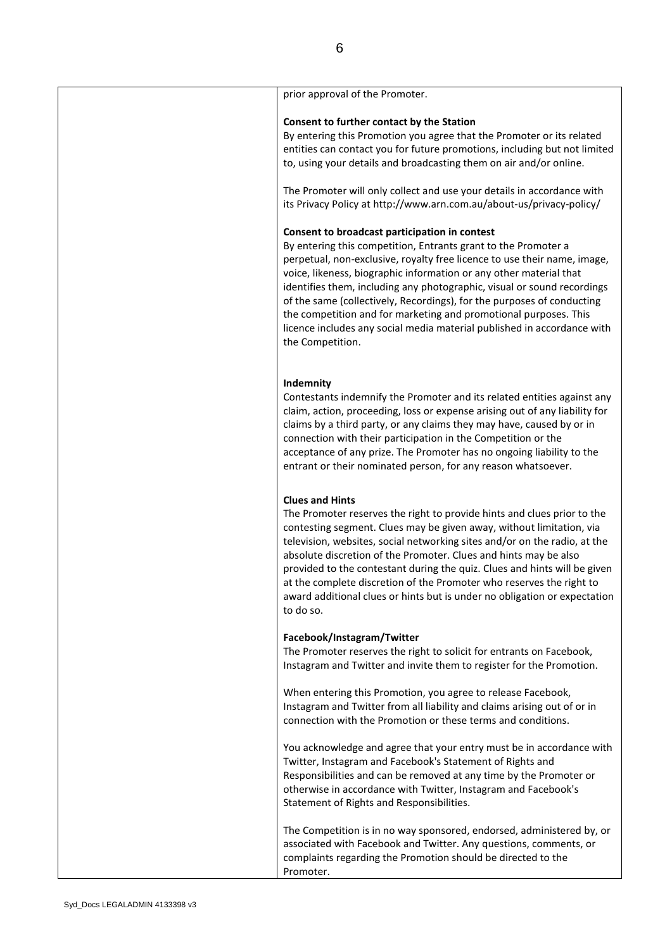| prior approval of the Promoter.                                                                                                                                                                                                                                                                                                                                                                                                                                                                                                                                                           |
|-------------------------------------------------------------------------------------------------------------------------------------------------------------------------------------------------------------------------------------------------------------------------------------------------------------------------------------------------------------------------------------------------------------------------------------------------------------------------------------------------------------------------------------------------------------------------------------------|
| Consent to further contact by the Station<br>By entering this Promotion you agree that the Promoter or its related<br>entities can contact you for future promotions, including but not limited<br>to, using your details and broadcasting them on air and/or online.                                                                                                                                                                                                                                                                                                                     |
| The Promoter will only collect and use your details in accordance with<br>its Privacy Policy at http://www.arn.com.au/about-us/privacy-policy/                                                                                                                                                                                                                                                                                                                                                                                                                                            |
| Consent to broadcast participation in contest<br>By entering this competition, Entrants grant to the Promoter a<br>perpetual, non-exclusive, royalty free licence to use their name, image,<br>voice, likeness, biographic information or any other material that<br>identifies them, including any photographic, visual or sound recordings<br>of the same (collectively, Recordings), for the purposes of conducting<br>the competition and for marketing and promotional purposes. This<br>licence includes any social media material published in accordance with<br>the Competition. |
| Indemnity<br>Contestants indemnify the Promoter and its related entities against any<br>claim, action, proceeding, loss or expense arising out of any liability for<br>claims by a third party, or any claims they may have, caused by or in<br>connection with their participation in the Competition or the<br>acceptance of any prize. The Promoter has no ongoing liability to the<br>entrant or their nominated person, for any reason whatsoever.                                                                                                                                   |
| <b>Clues and Hints</b><br>The Promoter reserves the right to provide hints and clues prior to the<br>contesting segment. Clues may be given away, without limitation, via<br>television, websites, social networking sites and/or on the radio, at the<br>absolute discretion of the Promoter. Clues and hints may be also<br>provided to the contestant during the quiz. Clues and hints will be given<br>at the complete discretion of the Promoter who reserves the right to<br>award additional clues or hints but is under no obligation or expectation<br>to do so.                 |
| Facebook/Instagram/Twitter<br>The Promoter reserves the right to solicit for entrants on Facebook,<br>Instagram and Twitter and invite them to register for the Promotion.                                                                                                                                                                                                                                                                                                                                                                                                                |
| When entering this Promotion, you agree to release Facebook,<br>Instagram and Twitter from all liability and claims arising out of or in<br>connection with the Promotion or these terms and conditions.                                                                                                                                                                                                                                                                                                                                                                                  |
| You acknowledge and agree that your entry must be in accordance with<br>Twitter, Instagram and Facebook's Statement of Rights and<br>Responsibilities and can be removed at any time by the Promoter or<br>otherwise in accordance with Twitter, Instagram and Facebook's<br>Statement of Rights and Responsibilities.                                                                                                                                                                                                                                                                    |
| The Competition is in no way sponsored, endorsed, administered by, or<br>associated with Facebook and Twitter. Any questions, comments, or<br>complaints regarding the Promotion should be directed to the<br>Promoter.                                                                                                                                                                                                                                                                                                                                                                   |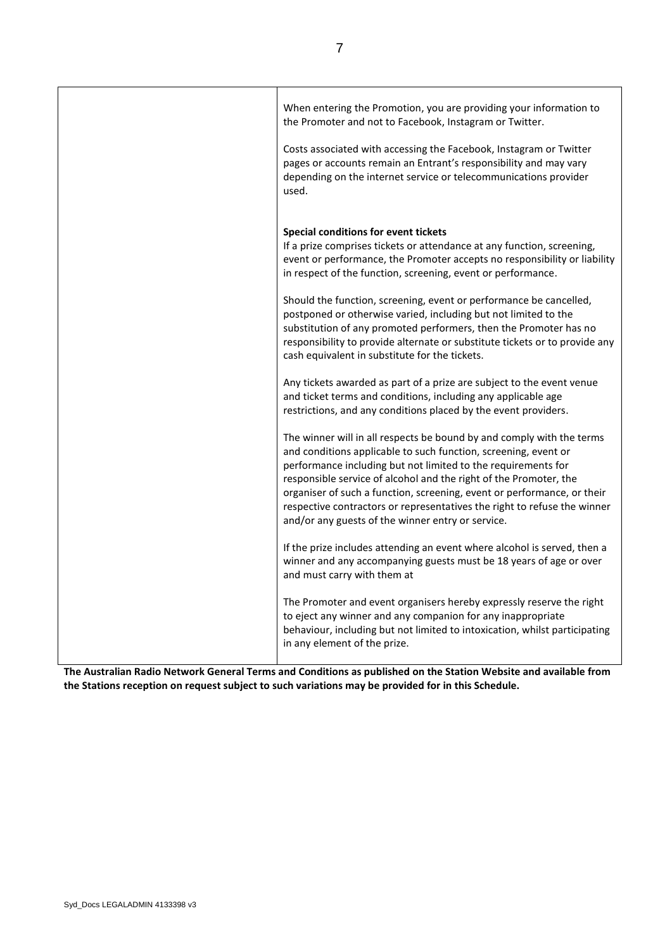| When entering the Promotion, you are providing your information to<br>the Promoter and not to Facebook, Instagram or Twitter.<br>Costs associated with accessing the Facebook, Instagram or Twitter<br>pages or accounts remain an Entrant's responsibility and may vary<br>depending on the internet service or telecommunications provider<br>used.                                                                                                                                      |
|--------------------------------------------------------------------------------------------------------------------------------------------------------------------------------------------------------------------------------------------------------------------------------------------------------------------------------------------------------------------------------------------------------------------------------------------------------------------------------------------|
| Special conditions for event tickets<br>If a prize comprises tickets or attendance at any function, screening,<br>event or performance, the Promoter accepts no responsibility or liability<br>in respect of the function, screening, event or performance.                                                                                                                                                                                                                                |
| Should the function, screening, event or performance be cancelled,<br>postponed or otherwise varied, including but not limited to the<br>substitution of any promoted performers, then the Promoter has no<br>responsibility to provide alternate or substitute tickets or to provide any<br>cash equivalent in substitute for the tickets.                                                                                                                                                |
| Any tickets awarded as part of a prize are subject to the event venue<br>and ticket terms and conditions, including any applicable age<br>restrictions, and any conditions placed by the event providers.                                                                                                                                                                                                                                                                                  |
| The winner will in all respects be bound by and comply with the terms<br>and conditions applicable to such function, screening, event or<br>performance including but not limited to the requirements for<br>responsible service of alcohol and the right of the Promoter, the<br>organiser of such a function, screening, event or performance, or their<br>respective contractors or representatives the right to refuse the winner<br>and/or any guests of the winner entry or service. |
| If the prize includes attending an event where alcohol is served, then a<br>winner and any accompanying guests must be 18 years of age or over<br>and must carry with them at                                                                                                                                                                                                                                                                                                              |
| The Promoter and event organisers hereby expressly reserve the right<br>to eject any winner and any companion for any inappropriate<br>behaviour, including but not limited to intoxication, whilst participating<br>in any element of the prize.                                                                                                                                                                                                                                          |

**The Australian Radio Network General Terms and Conditions as published on the Station Website and available from the Stations reception on request subject to such variations may be provided for in this Schedule.**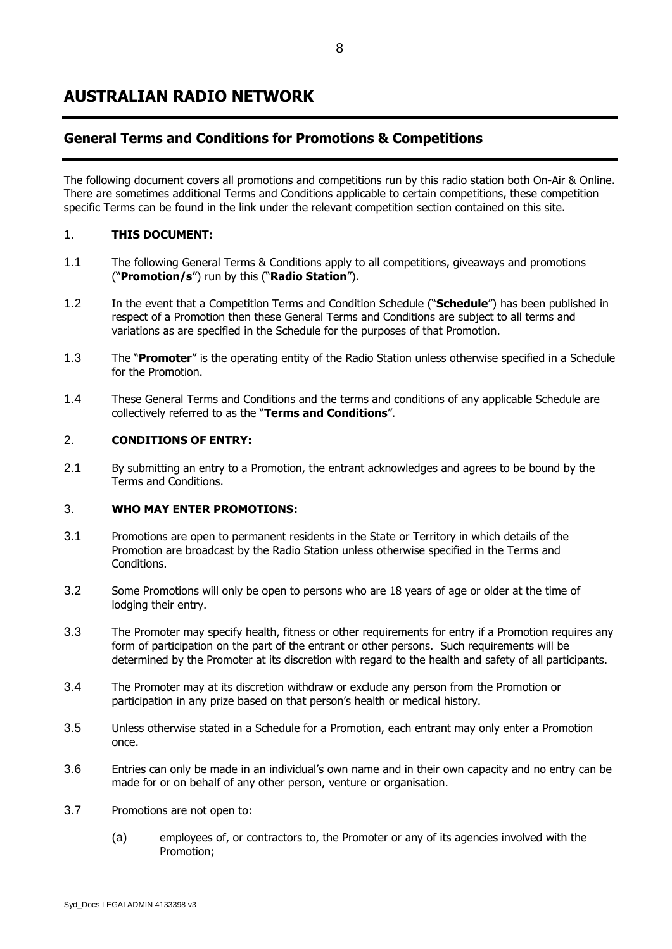# **AUSTRALIAN RADIO NETWORK**

## **General Terms and Conditions for Promotions & Competitions**

The following document covers all promotions and competitions run by this radio station both On-Air & Online. There are sometimes additional Terms and Conditions applicable to certain competitions, these competition specific Terms can be found in the link under the relevant competition section contained on this site.

#### 1. **THIS DOCUMENT:**

- 1.1 The following General Terms & Conditions apply to all competitions, giveaways and promotions ("**Promotion/s**") run by this ("**Radio Station**").
- 1.2 In the event that a Competition Terms and Condition Schedule ("**Schedule**") has been published in respect of a Promotion then these General Terms and Conditions are subject to all terms and variations as are specified in the Schedule for the purposes of that Promotion.
- 1.3 The "**Promoter**" is the operating entity of the Radio Station unless otherwise specified in a Schedule for the Promotion.
- 1.4 These General Terms and Conditions and the terms and conditions of any applicable Schedule are collectively referred to as the "**Terms and Conditions**".

#### 2. **CONDITIONS OF ENTRY:**

2.1 By submitting an entry to a Promotion, the entrant acknowledges and agrees to be bound by the Terms and Conditions.

#### 3. **WHO MAY ENTER PROMOTIONS:**

- 3.1 Promotions are open to permanent residents in the State or Territory in which details of the Promotion are broadcast by the Radio Station unless otherwise specified in the Terms and Conditions.
- 3.2 Some Promotions will only be open to persons who are 18 years of age or older at the time of lodging their entry.
- 3.3 The Promoter may specify health, fitness or other requirements for entry if a Promotion requires any form of participation on the part of the entrant or other persons. Such requirements will be determined by the Promoter at its discretion with regard to the health and safety of all participants.
- 3.4 The Promoter may at its discretion withdraw or exclude any person from the Promotion or participation in any prize based on that person's health or medical history.
- 3.5 Unless otherwise stated in a Schedule for a Promotion, each entrant may only enter a Promotion once.
- 3.6 Entries can only be made in an individual's own name and in their own capacity and no entry can be made for or on behalf of any other person, venture or organisation.
- 3.7 Promotions are not open to:
	- (a) employees of, or contractors to, the Promoter or any of its agencies involved with the Promotion;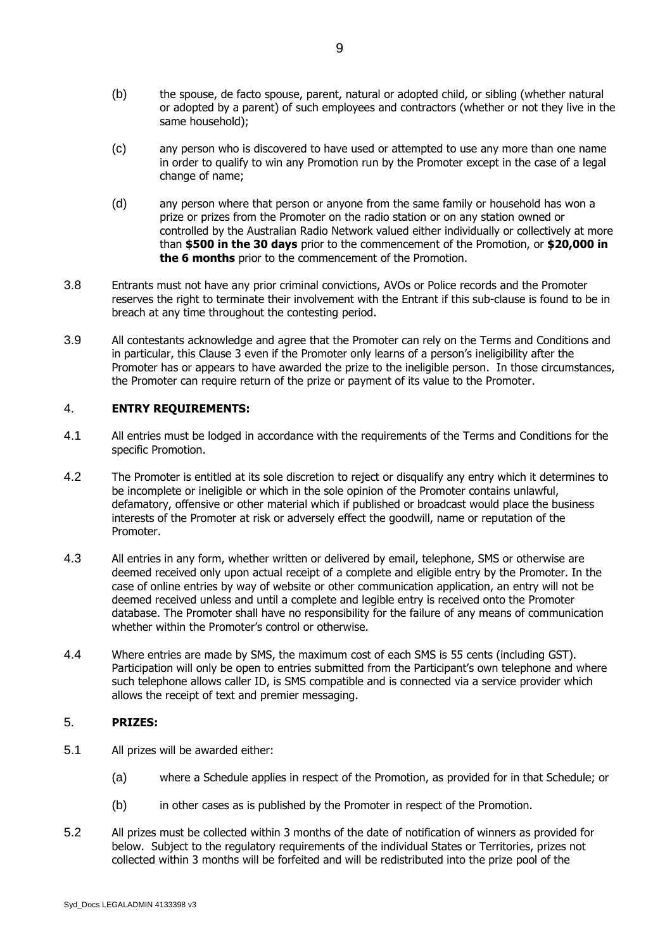- (b) the spouse, de facto spouse, parent, natural or adopted child, or sibling (whether natural or adopted by a parent) of such employees and contractors (whether or not they live in the same household);
- (c) any person who is discovered to have used or attempted to use any more than one name in order to qualify to win any Promotion run by the Promoter except in the case of a legal change of name;
- (d) any person where that person or anyone from the same family or household has won a prize or prizes from the Promoter on the radio station or on any station owned or controlled by the Australian Radio Network valued either individually or collectively at more than **\$500 in the 30 days** prior to the commencement of the Promotion, or **\$20,000 in the 6 months** prior to the commencement of the Promotion.
- 3.8 Entrants must not have any prior criminal convictions, AVOs or Police records and the Promoter reserves the right to terminate their involvement with the Entrant if this sub-clause is found to be in breach at any time throughout the contesting period.
- 3.9 All contestants acknowledge and agree that the Promoter can rely on the Terms and Conditions and in particular, this Clause 3 even if the Promoter only learns of a person's ineligibility after the Promoter has or appears to have awarded the prize to the ineligible person. In those circumstances, the Promoter can require return of the prize or payment of its value to the Promoter.

#### 4. **ENTRY REQUIREMENTS:**

- 4.1 All entries must be lodged in accordance with the requirements of the Terms and Conditions for the specific Promotion.
- 4.2 The Promoter is entitled at its sole discretion to reject or disqualify any entry which it determines to be incomplete or ineligible or which in the sole opinion of the Promoter contains unlawful, defamatory, offensive or other material which if published or broadcast would place the business interests of the Promoter at risk or adversely effect the goodwill, name or reputation of the Promoter.
- 4.3 All entries in any form, whether written or delivered by email, telephone, SMS or otherwise are deemed received only upon actual receipt of a complete and eligible entry by the Promoter. In the case of online entries by way of website or other communication application, an entry will not be deemed received unless and until a complete and legible entry is received onto the Promoter database. The Promoter shall have no responsibility for the failure of any means of communication whether within the Promoter's control or otherwise.
- 4.4 Where entries are made by SMS, the maximum cost of each SMS is 55 cents (including GST). Participation will only be open to entries submitted from the Participant's own telephone and where such telephone allows caller ID, is SMS compatible and is connected via a service provider which allows the receipt of text and premier messaging.

#### 5. **PRIZES:**

- 5.1 All prizes will be awarded either:
	- (a) where a Schedule applies in respect of the Promotion, as provided for in that Schedule; or
	- (b) in other cases as is published by the Promoter in respect of the Promotion.
- 5.2 All prizes must be collected within 3 months of the date of notification of winners as provided for below. Subject to the regulatory requirements of the individual States or Territories, prizes not collected within 3 months will be forfeited and will be redistributed into the prize pool of the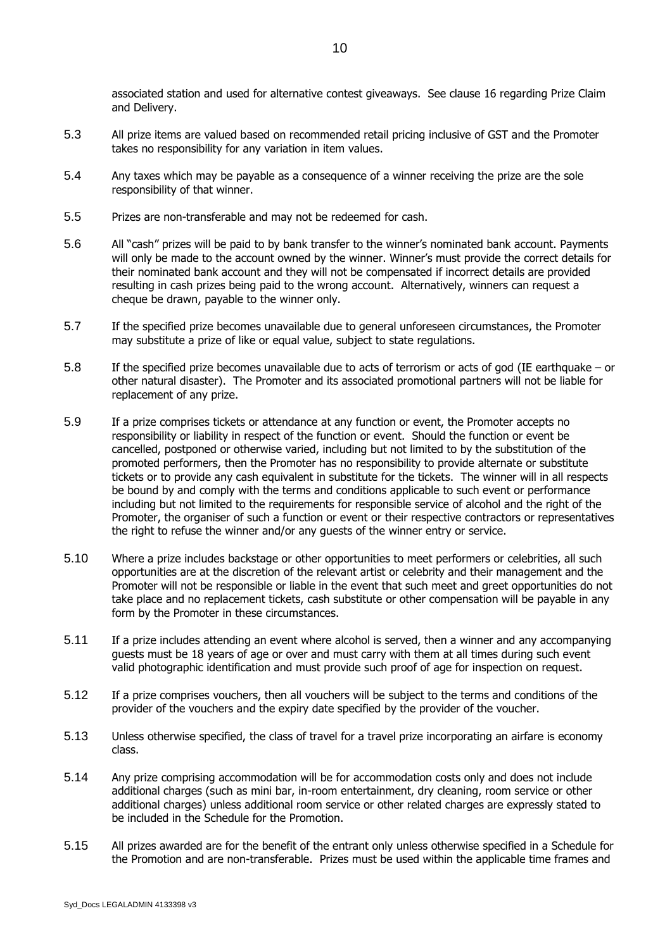associated station and used for alternative contest giveaways. See clause 16 regarding Prize Claim and Delivery.

- 5.3 All prize items are valued based on recommended retail pricing inclusive of GST and the Promoter takes no responsibility for any variation in item values.
- 5.4 Any taxes which may be payable as a consequence of a winner receiving the prize are the sole responsibility of that winner.
- 5.5 Prizes are non-transferable and may not be redeemed for cash.
- 5.6 All "cash" prizes will be paid to by bank transfer to the winner's nominated bank account. Payments will only be made to the account owned by the winner. Winner's must provide the correct details for their nominated bank account and they will not be compensated if incorrect details are provided resulting in cash prizes being paid to the wrong account. Alternatively, winners can request a cheque be drawn, payable to the winner only.
- 5.7 If the specified prize becomes unavailable due to general unforeseen circumstances, the Promoter may substitute a prize of like or equal value, subject to state regulations.
- 5.8 If the specified prize becomes unavailable due to acts of terrorism or acts of god (IE earthquake or other natural disaster). The Promoter and its associated promotional partners will not be liable for replacement of any prize.
- 5.9 If a prize comprises tickets or attendance at any function or event, the Promoter accepts no responsibility or liability in respect of the function or event. Should the function or event be cancelled, postponed or otherwise varied, including but not limited to by the substitution of the promoted performers, then the Promoter has no responsibility to provide alternate or substitute tickets or to provide any cash equivalent in substitute for the tickets. The winner will in all respects be bound by and comply with the terms and conditions applicable to such event or performance including but not limited to the requirements for responsible service of alcohol and the right of the Promoter, the organiser of such a function or event or their respective contractors or representatives the right to refuse the winner and/or any guests of the winner entry or service.
- 5.10 Where a prize includes backstage or other opportunities to meet performers or celebrities, all such opportunities are at the discretion of the relevant artist or celebrity and their management and the Promoter will not be responsible or liable in the event that such meet and greet opportunities do not take place and no replacement tickets, cash substitute or other compensation will be payable in any form by the Promoter in these circumstances.
- 5.11 If a prize includes attending an event where alcohol is served, then a winner and any accompanying guests must be 18 years of age or over and must carry with them at all times during such event valid photographic identification and must provide such proof of age for inspection on request.
- 5.12 If a prize comprises vouchers, then all vouchers will be subject to the terms and conditions of the provider of the vouchers and the expiry date specified by the provider of the voucher.
- 5.13 Unless otherwise specified, the class of travel for a travel prize incorporating an airfare is economy class.
- 5.14 Any prize comprising accommodation will be for accommodation costs only and does not include additional charges (such as mini bar, in-room entertainment, dry cleaning, room service or other additional charges) unless additional room service or other related charges are expressly stated to be included in the Schedule for the Promotion.
- 5.15 All prizes awarded are for the benefit of the entrant only unless otherwise specified in a Schedule for the Promotion and are non-transferable. Prizes must be used within the applicable time frames and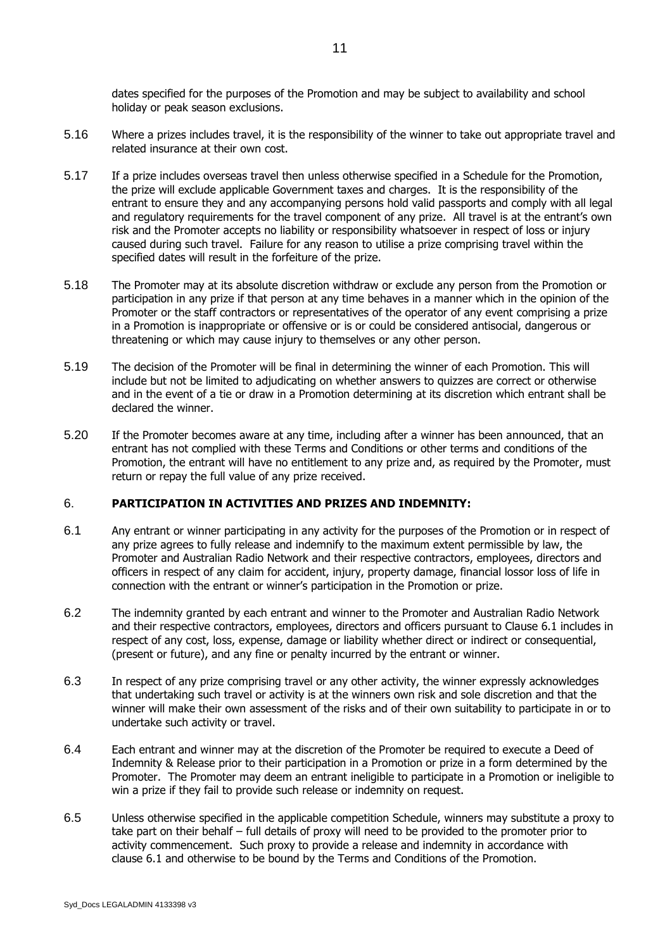dates specified for the purposes of the Promotion and may be subject to availability and school holiday or peak season exclusions.

- 5.16 Where a prizes includes travel, it is the responsibility of the winner to take out appropriate travel and related insurance at their own cost.
- 5.17 If a prize includes overseas travel then unless otherwise specified in a Schedule for the Promotion, the prize will exclude applicable Government taxes and charges. It is the responsibility of the entrant to ensure they and any accompanying persons hold valid passports and comply with all legal and regulatory requirements for the travel component of any prize. All travel is at the entrant's own risk and the Promoter accepts no liability or responsibility whatsoever in respect of loss or injury caused during such travel. Failure for any reason to utilise a prize comprising travel within the specified dates will result in the forfeiture of the prize.
- 5.18 The Promoter may at its absolute discretion withdraw or exclude any person from the Promotion or participation in any prize if that person at any time behaves in a manner which in the opinion of the Promoter or the staff contractors or representatives of the operator of any event comprising a prize in a Promotion is inappropriate or offensive or is or could be considered antisocial, dangerous or threatening or which may cause injury to themselves or any other person.
- 5.19 The decision of the Promoter will be final in determining the winner of each Promotion. This will include but not be limited to adjudicating on whether answers to quizzes are correct or otherwise and in the event of a tie or draw in a Promotion determining at its discretion which entrant shall be declared the winner.
- 5.20 If the Promoter becomes aware at any time, including after a winner has been announced, that an entrant has not complied with these Terms and Conditions or other terms and conditions of the Promotion, the entrant will have no entitlement to any prize and, as required by the Promoter, must return or repay the full value of any prize received.

#### 6. **PARTICIPATION IN ACTIVITIES AND PRIZES AND INDEMNITY:**

- <span id="page-10-0"></span>6.1 Any entrant or winner participating in any activity for the purposes of the Promotion or in respect of any prize agrees to fully release and indemnify to the maximum extent permissible by law, the Promoter and Australian Radio Network and their respective contractors, employees, directors and officers in respect of any claim for accident, injury, property damage, financial lossor loss of life in connection with the entrant or winner's participation in the Promotion or prize.
- 6.2 The indemnity granted by each entrant and winner to the Promoter and Australian Radio Network and their respective contractors, employees, directors and officers pursuant to Clause 6.1 includes in respect of any cost, loss, expense, damage or liability whether direct or indirect or consequential, (present or future), and any fine or penalty incurred by the entrant or winner.
- 6.3 In respect of any prize comprising travel or any other activity, the winner expressly acknowledges that undertaking such travel or activity is at the winners own risk and sole discretion and that the winner will make their own assessment of the risks and of their own suitability to participate in or to undertake such activity or travel.
- 6.4 Each entrant and winner may at the discretion of the Promoter be required to execute a Deed of Indemnity & Release prior to their participation in a Promotion or prize in a form determined by the Promoter. The Promoter may deem an entrant ineligible to participate in a Promotion or ineligible to win a prize if they fail to provide such release or indemnity on request.
- 6.5 Unless otherwise specified in the applicable competition Schedule, winners may substitute a proxy to take part on their behalf – full details of proxy will need to be provided to the promoter prior to activity commencement. Such proxy to provide a release and indemnity in accordance with clause [6.1](#page-10-0) and otherwise to be bound by the Terms and Conditions of the Promotion.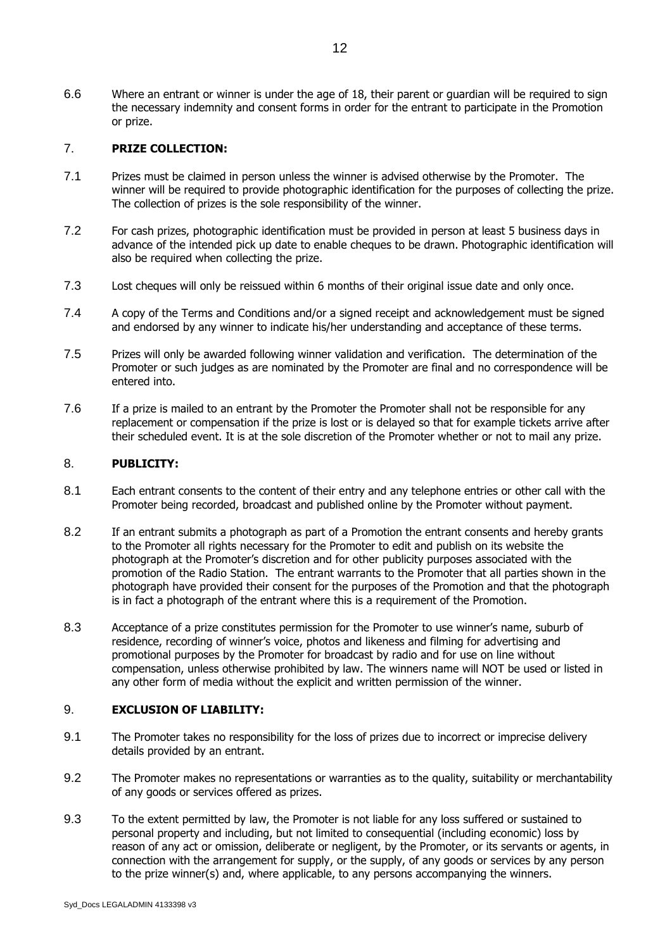6.6 Where an entrant or winner is under the age of 18, their parent or guardian will be required to sign the necessary indemnity and consent forms in order for the entrant to participate in the Promotion or prize.

#### 7. **PRIZE COLLECTION:**

- 7.1 Prizes must be claimed in person unless the winner is advised otherwise by the Promoter. The winner will be required to provide photographic identification for the purposes of collecting the prize. The collection of prizes is the sole responsibility of the winner.
- 7.2 For cash prizes, photographic identification must be provided in person at least 5 business days in advance of the intended pick up date to enable cheques to be drawn. Photographic identification will also be required when collecting the prize.
- 7.3 Lost cheques will only be reissued within 6 months of their original issue date and only once.
- 7.4 A copy of the Terms and Conditions and/or a signed receipt and acknowledgement must be signed and endorsed by any winner to indicate his/her understanding and acceptance of these terms.
- 7.5 Prizes will only be awarded following winner validation and verification. The determination of the Promoter or such judges as are nominated by the Promoter are final and no correspondence will be entered into.
- 7.6 If a prize is mailed to an entrant by the Promoter the Promoter shall not be responsible for any replacement or compensation if the prize is lost or is delayed so that for example tickets arrive after their scheduled event. It is at the sole discretion of the Promoter whether or not to mail any prize.

#### 8. **PUBLICITY:**

- 8.1 Each entrant consents to the content of their entry and any telephone entries or other call with the Promoter being recorded, broadcast and published online by the Promoter without payment.
- 8.2 If an entrant submits a photograph as part of a Promotion the entrant consents and hereby grants to the Promoter all rights necessary for the Promoter to edit and publish on its website the photograph at the Promoter's discretion and for other publicity purposes associated with the promotion of the Radio Station. The entrant warrants to the Promoter that all parties shown in the photograph have provided their consent for the purposes of the Promotion and that the photograph is in fact a photograph of the entrant where this is a requirement of the Promotion.
- 8.3 Acceptance of a prize constitutes permission for the Promoter to use winner's name, suburb of residence, recording of winner's voice, photos and likeness and filming for advertising and promotional purposes by the Promoter for broadcast by radio and for use on line without compensation, unless otherwise prohibited by law. The winners name will NOT be used or listed in any other form of media without the explicit and written permission of the winner.

#### 9. **EXCLUSION OF LIABILITY:**

- 9.1 The Promoter takes no responsibility for the loss of prizes due to incorrect or imprecise delivery details provided by an entrant.
- 9.2 The Promoter makes no representations or warranties as to the quality, suitability or merchantability of any goods or services offered as prizes.
- 9.3 To the extent permitted by law, the Promoter is not liable for any loss suffered or sustained to personal property and including, but not limited to consequential (including economic) loss by reason of any act or omission, deliberate or negligent, by the Promoter, or its servants or agents, in connection with the arrangement for supply, or the supply, of any goods or services by any person to the prize winner(s) and, where applicable, to any persons accompanying the winners.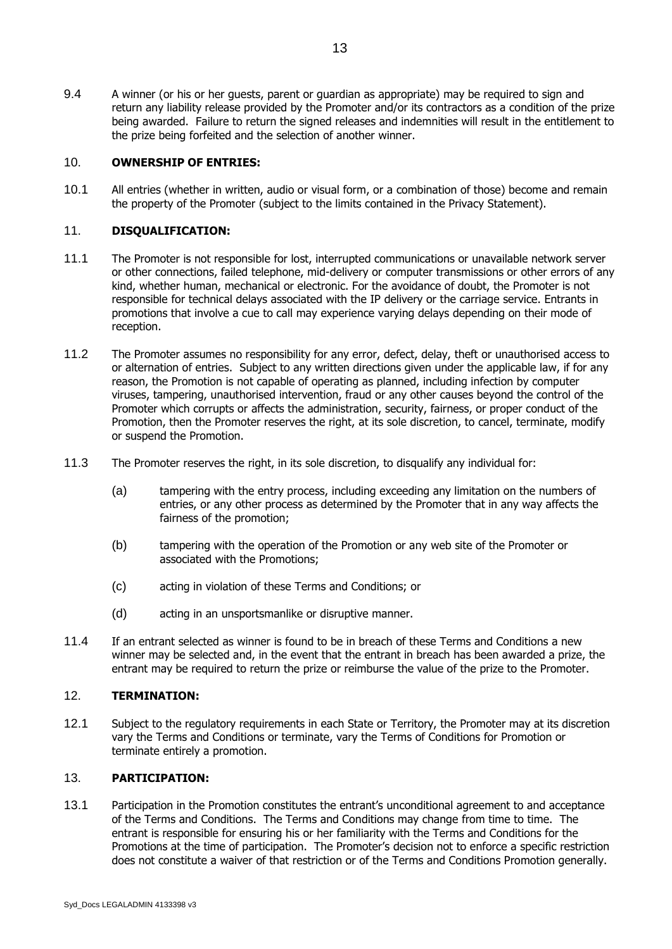9.4 A winner (or his or her guests, parent or guardian as appropriate) may be required to sign and return any liability release provided by the Promoter and/or its contractors as a condition of the prize being awarded. Failure to return the signed releases and indemnities will result in the entitlement to the prize being forfeited and the selection of another winner.

#### 10. **OWNERSHIP OF ENTRIES:**

10.1 All entries (whether in written, audio or visual form, or a combination of those) become and remain the property of the Promoter (subject to the limits contained in the Privacy Statement).

#### 11. **DISQUALIFICATION:**

- 11.1 The Promoter is not responsible for lost, interrupted communications or unavailable network server or other connections, failed telephone, mid-delivery or computer transmissions or other errors of any kind, whether human, mechanical or electronic. For the avoidance of doubt, the Promoter is not responsible for technical delays associated with the IP delivery or the carriage service. Entrants in promotions that involve a cue to call may experience varying delays depending on their mode of reception.
- 11.2 The Promoter assumes no responsibility for any error, defect, delay, theft or unauthorised access to or alternation of entries. Subject to any written directions given under the applicable law, if for any reason, the Promotion is not capable of operating as planned, including infection by computer viruses, tampering, unauthorised intervention, fraud or any other causes beyond the control of the Promoter which corrupts or affects the administration, security, fairness, or proper conduct of the Promotion, then the Promoter reserves the right, at its sole discretion, to cancel, terminate, modify or suspend the Promotion.
- 11.3 The Promoter reserves the right, in its sole discretion, to disqualify any individual for:
	- (a) tampering with the entry process, including exceeding any limitation on the numbers of entries, or any other process as determined by the Promoter that in any way affects the fairness of the promotion;
	- (b) tampering with the operation of the Promotion or any web site of the Promoter or associated with the Promotions;
	- (c) acting in violation of these Terms and Conditions; or
	- (d) acting in an unsportsmanlike or disruptive manner.
- 11.4 If an entrant selected as winner is found to be in breach of these Terms and Conditions a new winner may be selected and, in the event that the entrant in breach has been awarded a prize, the entrant may be required to return the prize or reimburse the value of the prize to the Promoter.

#### 12. **TERMINATION:**

12.1 Subject to the regulatory requirements in each State or Territory, the Promoter may at its discretion vary the Terms and Conditions or terminate, vary the Terms of Conditions for Promotion or terminate entirely a promotion.

#### 13. **PARTICIPATION:**

13.1 Participation in the Promotion constitutes the entrant's unconditional agreement to and acceptance of the Terms and Conditions. The Terms and Conditions may change from time to time. The entrant is responsible for ensuring his or her familiarity with the Terms and Conditions for the Promotions at the time of participation. The Promoter's decision not to enforce a specific restriction does not constitute a waiver of that restriction or of the Terms and Conditions Promotion generally.